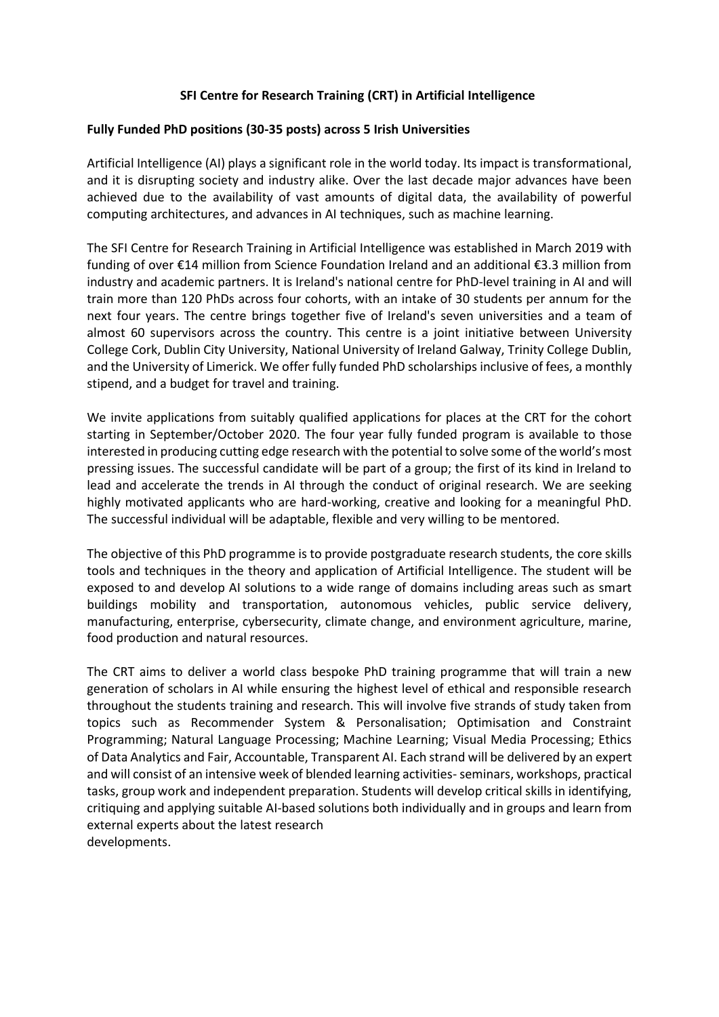## **SFI Centre for Research Training (CRT) in Artificial Intelligence**

#### **Fully Funded PhD positions (30-35 posts) across 5 Irish Universities**

Artificial Intelligence (AI) plays a significant role in the world today. Its impact is transformational, and it is disrupting society and industry alike. Over the last decade major advances have been achieved due to the availability of vast amounts of digital data, the availability of powerful computing architectures, and advances in AI techniques, such as machine learning.

The SFI Centre for Research Training in Artificial Intelligence was established in March 2019 with funding of over €14 million from Science Foundation Ireland and an additional €3.3 million from industry and academic partners. It is Ireland's national centre for PhD-level training in AI and will train more than 120 PhDs across four cohorts, with an intake of 30 students per annum for the next four years. The centre brings together five of Ireland's seven universities and a team of almost 60 supervisors across the country. This centre is a joint initiative between University College Cork, Dublin City University, National University of Ireland Galway, Trinity College Dublin, and the University of Limerick. We offer fully funded PhD scholarships inclusive of fees, a monthly stipend, and a budget for travel and training.

We invite applications from suitably qualified applications for places at the CRT for the cohort starting in September/October 2020. The four year fully funded program is available to those interested in producing cutting edge research with the potential to solve some of the world's most pressing issues. The successful candidate will be part of a group; the first of its kind in Ireland to lead and accelerate the trends in AI through the conduct of original research. We are seeking highly motivated applicants who are hard-working, creative and looking for a meaningful PhD. The successful individual will be adaptable, flexible and very willing to be mentored.

The objective of this PhD programme is to provide postgraduate research students, the core skills tools and techniques in the theory and application of Artificial Intelligence. The student will be exposed to and develop AI solutions to a wide range of domains including areas such as smart buildings mobility and transportation, autonomous vehicles, public service delivery, manufacturing, enterprise, cybersecurity, climate change, and environment agriculture, marine, food production and natural resources.

The CRT aims to deliver a world class bespoke PhD training programme that will train a new generation of scholars in AI while ensuring the highest level of ethical and responsible research throughout the students training and research. This will involve five strands of study taken from topics such as Recommender System & Personalisation; Optimisation and Constraint Programming; Natural Language Processing; Machine Learning; Visual Media Processing; Ethics of Data Analytics and Fair, Accountable, Transparent AI. Each strand will be delivered by an expert and will consist of an intensive week of blended learning activities-seminars, workshops, practical tasks, group work and independent preparation. Students will develop critical skills in identifying, critiquing and applying suitable AI-based solutions both individually and in groups and learn from external experts about the latest research developments.